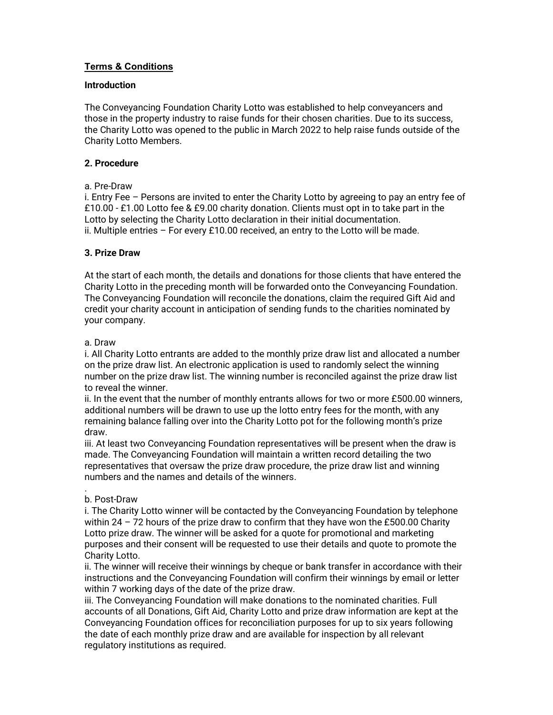# Terms & Conditions

# **Introduction**

The Conveyancing Foundation Charity Lotto was established to help conveyancers and those in the property industry to raise funds for their chosen charities. Due to its success, the Charity Lotto was opened to the public in March 2022 to help raise funds outside of the Charity Lotto Members.

# 2. Procedure

#### a. Pre-Draw

i. Entry Fee – Persons are invited to enter the Charity Lotto by agreeing to pay an entry fee of £10.00 - £1.00 Lotto fee & £9.00 charity donation. Clients must opt in to take part in the Lotto by selecting the Charity Lotto declaration in their initial documentation. ii. Multiple entries  $-$  For every £10.00 received, an entry to the Lotto will be made.

# 3. Prize Draw

At the start of each month, the details and donations for those clients that have entered the Charity Lotto in the preceding month will be forwarded onto the Conveyancing Foundation. The Conveyancing Foundation will reconcile the donations, claim the required Gift Aid and credit your charity account in anticipation of sending funds to the charities nominated by your company.

#### a. Draw

i. All Charity Lotto entrants are added to the monthly prize draw list and allocated a number on the prize draw list. An electronic application is used to randomly select the winning number on the prize draw list. The winning number is reconciled against the prize draw list to reveal the winner.

ii. In the event that the number of monthly entrants allows for two or more £500.00 winners, additional numbers will be drawn to use up the lotto entry fees for the month, with any remaining balance falling over into the Charity Lotto pot for the following month's prize draw.

iii. At least two Conveyancing Foundation representatives will be present when the draw is made. The Conveyancing Foundation will maintain a written record detailing the two representatives that oversaw the prize draw procedure, the prize draw list and winning numbers and the names and details of the winners.

#### . b. Post-Draw

i. The Charity Lotto winner will be contacted by the Conveyancing Foundation by telephone within 24 – 72 hours of the prize draw to confirm that they have won the £500.00 Charity Lotto prize draw. The winner will be asked for a quote for promotional and marketing purposes and their consent will be requested to use their details and quote to promote the Charity Lotto.

ii. The winner will receive their winnings by cheque or bank transfer in accordance with their instructions and the Conveyancing Foundation will confirm their winnings by email or letter within 7 working days of the date of the prize draw.

iii. The Conveyancing Foundation will make donations to the nominated charities. Full accounts of all Donations, Gift Aid, Charity Lotto and prize draw information are kept at the Conveyancing Foundation offices for reconciliation purposes for up to six years following the date of each monthly prize draw and are available for inspection by all relevant regulatory institutions as required.